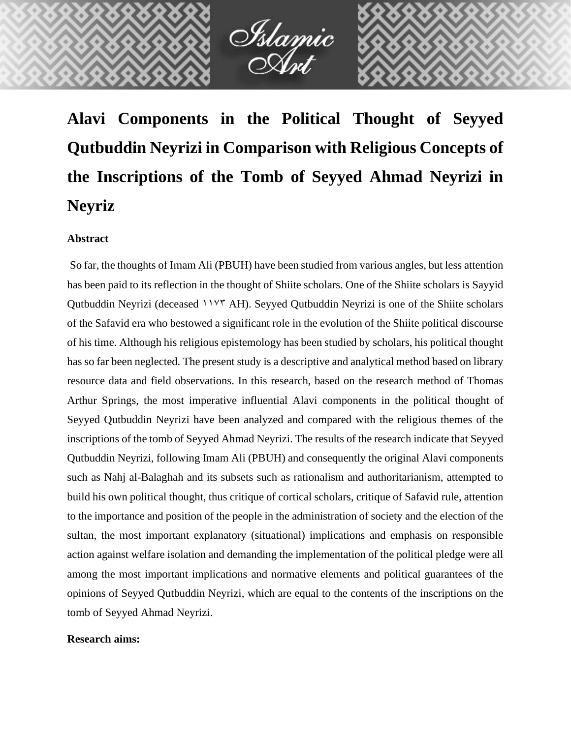

İslamic<br>Asıt

# **Abstract**

So far, the thoughts of Imam Ali (PBUH) have been studied from various angles, but less attention has been paid to its reflection in the thought of Shiite scholars. One of the Shiite scholars is Sayyid Qutbuddin Neyrizi (deceased 1175 AH). Seyyed Qutbuddin Neyrizi is one of the Shiite scholars of the Safavid era who bestowed a significant role in the evolution of the Shiite political discourse of his time. Although his religious epistemology has been studied by scholars, his political thought has so far been neglected. The present study is a descriptive and analytical method based on library resource data and field observations. In this research, based on the research method of Thomas Arthur Springs, the most imperative influential Alavi components in the political thought of Seyyed Qutbuddin Neyrizi have been analyzed and compared with the religious themes of the inscriptions of the tomb of Seyyed Ahmad Neyrizi. The results of the research indicate that Seyyed Qutbuddin Neyrizi, following Imam Ali (PBUH) and consequently the original Alavi components such as Nahj al-Balaghah and its subsets such as rationalism and authoritarianism, attempted to build his own political thought, thus critique of cortical scholars, critique of Safavid rule, attention to the importance and position of the people in the administration of society and the election of the sultan, the most important explanatory (situational) implications and emphasis on responsible action against welfare isolation and demanding the implementation of the political pledge were all among the most important implications and normative elements and political guarantees of the opinions of Seyyed Qutbuddin Neyrizi, which are equal to the contents of the inscriptions on the tomb of Seyyed Ahmad Neyrizi.

#### **Research aims:**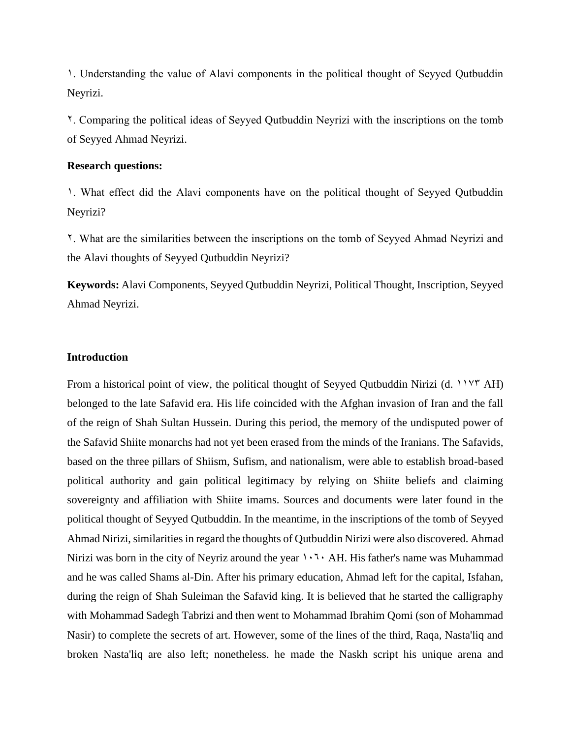1. Understanding the value of Alavi components in the political thought of Seyyed Qutbuddin Neyrizi.

2. Comparing the political ideas of Seyyed Qutbuddin Neyrizi with the inscriptions on the tomb of Seyyed Ahmad Neyrizi.

# **Research questions:**

1. What effect did the Alavi components have on the political thought of Seyyed Qutbuddin Neyrizi?

2. What are the similarities between the inscriptions on the tomb of Seyyed Ahmad Neyrizi and the Alavi thoughts of Seyyed Qutbuddin Neyrizi?

**Keywords:** Alavi Components, Seyyed Qutbuddin Neyrizi, Political Thought, Inscription, Seyyed Ahmad Neyrizi.

### **Introduction**

From a historical point of view, the political thought of Seyyed Qutbuddin Nirizi (d. 1175 AH) belonged to the late Safavid era. His life coincided with the Afghan invasion of Iran and the fall of the reign of Shah Sultan Hussein. During this period, the memory of the undisputed power of the Safavid Shiite monarchs had not yet been erased from the minds of the Iranians. The Safavids, based on the three pillars of Shiism, Sufism, and nationalism, were able to establish broad-based political authority and gain political legitimacy by relying on Shiite beliefs and claiming sovereignty and affiliation with Shiite imams. Sources and documents were later found in the political thought of Seyyed Qutbuddin. In the meantime, in the inscriptions of the tomb of Seyyed Ahmad Nirizi, similarities in regard the thoughts of Qutbuddin Nirizi were also discovered. Ahmad Nirizi was born in the city of Neyriz around the year  $1.7.6$  AH. His father's name was Muhammad and he was called Shams al-Din. After his primary education, Ahmad left for the capital, Isfahan, during the reign of Shah Suleiman the Safavid king. It is believed that he started the calligraphy with Mohammad Sadegh Tabrizi and then went to Mohammad Ibrahim Qomi (son of Mohammad Nasir) to complete the secrets of art. However, some of the lines of the third, Raqa, Nasta'liq and broken Nasta'liq are also left; nonetheless. he made the Naskh script his unique arena and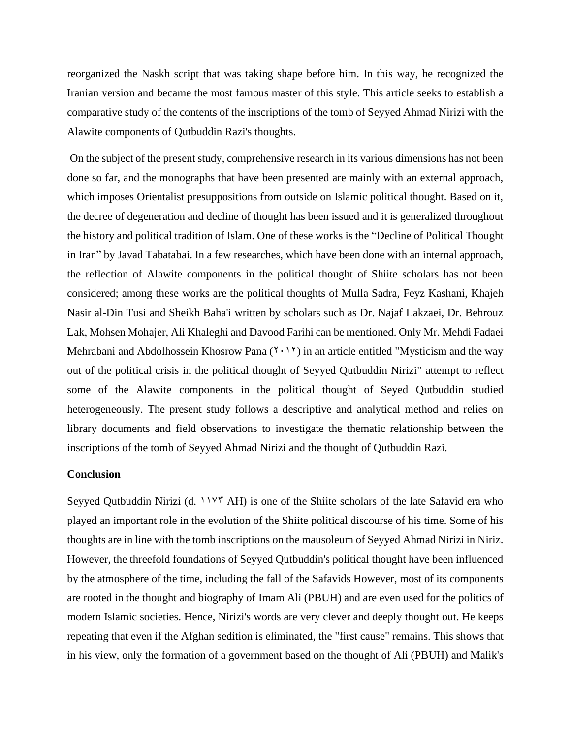reorganized the Naskh script that was taking shape before him. In this way, he recognized the Iranian version and became the most famous master of this style. This article seeks to establish a comparative study of the contents of the inscriptions of the tomb of Seyyed Ahmad Nirizi with the Alawite components of Qutbuddin Razi's thoughts.

On the subject of the present study, comprehensive research in its various dimensions has not been done so far, and the monographs that have been presented are mainly with an external approach, which imposes Orientalist presuppositions from outside on Islamic political thought. Based on it, the decree of degeneration and decline of thought has been issued and it is generalized throughout the history and political tradition of Islam. One of these works is the "Decline of Political Thought in Iran" by Javad Tabatabai. In a few researches, which have been done with an internal approach, the reflection of Alawite components in the political thought of Shiite scholars has not been considered; among these works are the political thoughts of Mulla Sadra, Feyz Kashani, Khajeh Nasir al-Din Tusi and Sheikh Baha'i written by scholars such as Dr. Najaf Lakzaei, Dr. Behrouz Lak, Mohsen Mohajer, Ali Khaleghi and Davood Farihi can be mentioned. Only Mr. Mehdi Fadaei Mehrabani and Abdolhossein Khosrow Pana  $(Y \cdot Y)$  in an article entitled "Mysticism and the way out of the political crisis in the political thought of Seyyed Qutbuddin Nirizi" attempt to reflect some of the Alawite components in the political thought of Seyed Qutbuddin studied heterogeneously. The present study follows a descriptive and analytical method and relies on library documents and field observations to investigate the thematic relationship between the inscriptions of the tomb of Seyyed Ahmad Nirizi and the thought of Qutbuddin Razi.

#### **Conclusion**

Seyyed Qutbuddin Nirizi (d.  $11Y^T AH$ ) is one of the Shiite scholars of the late Safavid era who played an important role in the evolution of the Shiite political discourse of his time. Some of his thoughts are in line with the tomb inscriptions on the mausoleum of Seyyed Ahmad Nirizi in Niriz. However, the threefold foundations of Seyyed Qutbuddin's political thought have been influenced by the atmosphere of the time, including the fall of the Safavids However, most of its components are rooted in the thought and biography of Imam Ali (PBUH) and are even used for the politics of modern Islamic societies. Hence, Nirizi's words are very clever and deeply thought out. He keeps repeating that even if the Afghan sedition is eliminated, the "first cause" remains. This shows that in his view, only the formation of a government based on the thought of Ali (PBUH) and Malik's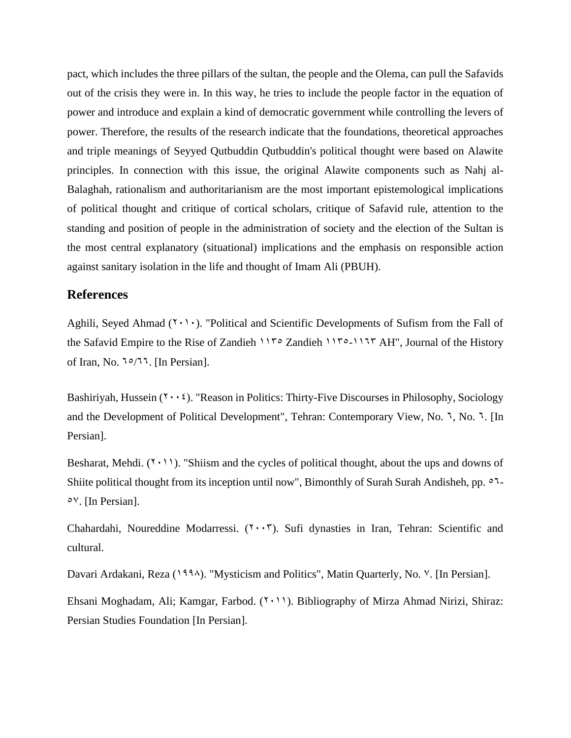pact, which includes the three pillars of the sultan, the people and the Olema, can pull the Safavids out of the crisis they were in. In this way, he tries to include the people factor in the equation of power and introduce and explain a kind of democratic government while controlling the levers of power. Therefore, the results of the research indicate that the foundations, theoretical approaches and triple meanings of Seyyed Qutbuddin Qutbuddin's political thought were based on Alawite principles. In connection with this issue, the original Alawite components such as Nahj al-Balaghah, rationalism and authoritarianism are the most important epistemological implications of political thought and critique of cortical scholars, critique of Safavid rule, attention to the standing and position of people in the administration of society and the election of the Sultan is the most central explanatory (situational) implications and the emphasis on responsible action against sanitary isolation in the life and thought of Imam Ali (PBUH).

# **References**

Aghili, Seyed Ahmad  $(1 \cdot \cdot)$ . "Political and Scientific Developments of Sufism from the Fall of the Safavid Empire to the Rise of Zandieh 1150 Zandieh 1150-1155 AH", Journal of the History of Iran, No.  $1^{\circ}/11$ . [In Persian].

Bashiriyah, Hussein  $(2 \cdot \cdot \cdot)$ . "Reason in Politics: Thirty-Five Discourses in Philosophy, Sociology and the Development of Political Development", Tehran: Contemporary View, No. 7, No. 7. [In Persian].

Besharat, Mehdi.  $(1 \cdot 1)$ . "Shiism and the cycles of political thought, about the ups and downs of Shiite political thought from its inception until now", Bimonthly of Surah Surah Andisheh, pp.  $\circ$ 7- $\circ$ <sup>V</sup>. [In Persian].

Chahardahi, Noureddine Modarressi.  $(7 \cdot \cdot 7)$ . Sufi dynasties in Iran, Tehran: Scientific and cultural.

Davari Ardakani, Reza (1994). "Mysticism and Politics", Matin Quarterly, No. <sup>V</sup>. [In Persian].

Ehsani Moghadam, Ali; Kamgar, Farbod.  $(1 \cdot 1)$ . Bibliography of Mirza Ahmad Nirizi, Shiraz: Persian Studies Foundation [In Persian].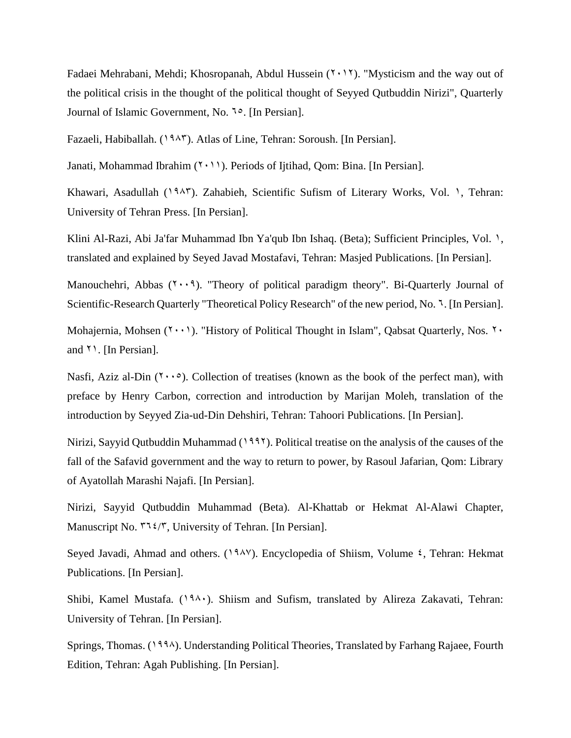Fadaei Mehrabani, Mehdi; Khosropanah, Abdul Hussein  $(7 \cdot 17)$ . "Mysticism and the way out of the political crisis in the thought of the political thought of Seyyed Qutbuddin Nirizi", Quarterly Journal of Islamic Government, No. 1°. [In Persian].

Fazaeli, Habiballah. (1945). Atlas of Line, Tehran: Soroush. [In Persian].

Janati, Mohammad Ibrahim  $(1 \cdot 1)$ . Periods of Ijtihad, Qom: Bina. [In Persian].

Khawari, Asadullah (1945). Zahabieh, Scientific Sufism of Literary Works, Vol. 1, Tehran: University of Tehran Press. [In Persian].

Klini Al-Razi, Abi Ja'far Muhammad Ibn Ya'qub Ibn Ishaq. (Beta); Sufficient Principles, Vol. 1, translated and explained by Seyed Javad Mostafavi, Tehran: Masjed Publications. [In Persian].

Manouchehri, Abbas  $(7 \cdot 9)$ . "Theory of political paradigm theory". Bi-Quarterly Journal of Scientific-Research Quarterly "Theoretical Policy Research" of the new period, No. 7. [In Persian].

Mohajernia, Mohsen  $(1 \cdot \cdot)$ . "History of Political Thought in Islam", Qabsat Quarterly, Nos.  $1 \cdot$ and 21. [In Persian].

Nasfi, Aziz al-Din  $(2005)$ . Collection of treatises (known as the book of the perfect man), with preface by Henry Carbon, correction and introduction by Marijan Moleh, translation of the introduction by Seyyed Zia-ud-Din Dehshiri, Tehran: Tahoori Publications. [In Persian].

Nirizi, Sayyid Qutbuddin Muhammad  $(1997)$ . Political treatise on the analysis of the causes of the fall of the Safavid government and the way to return to power, by Rasoul Jafarian, Qom: Library of Ayatollah Marashi Najafi. [In Persian].

Nirizi, Sayyid Qutbuddin Muhammad (Beta). Al-Khattab or Hekmat Al-Alawi Chapter, Manuscript No.  $\mathsf{N14}/\mathsf{r}$ , University of Tehran. [In Persian].

Seyed Javadi, Ahmad and others. (1988). Encyclopedia of Shiism, Volume  $\epsilon$ , Tehran: Hekmat Publications. [In Persian].

Shibi, Kamel Mustafa. (1980). Shiism and Sufism, translated by Alireza Zakavati, Tehran: University of Tehran. [In Persian].

Springs, Thomas. (1994). Understanding Political Theories, Translated by Farhang Rajaee, Fourth Edition, Tehran: Agah Publishing. [In Persian].